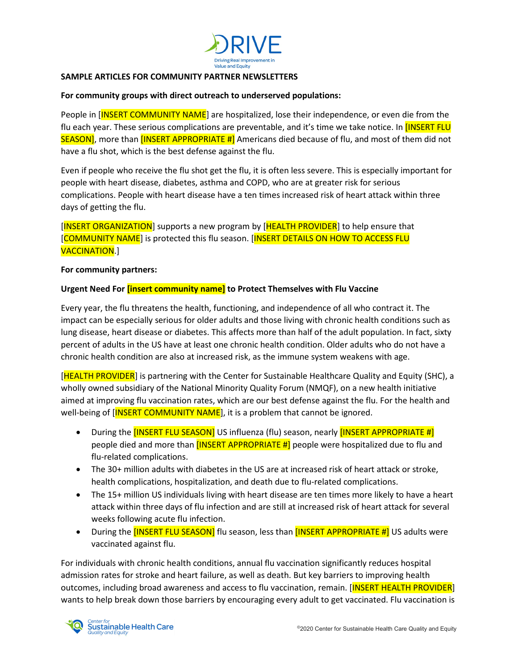

## **SAMPLE ARTICLES FOR COMMUNITY PARTNER NEWSLETTERS**

## **For community groups with direct outreach to underserved populations:**

People in [INSERT COMMUNITY NAME] are hospitalized, lose their independence, or even die from the flu each year. These serious complications are preventable, and it's time we take notice. In **[INSERT FLU** SEASON], more than [INSERT APPROPRIATE #] Americans died because of flu, and most of them did not have a flu shot, which is the best defense against the flu.

Even if people who receive the flu shot get the flu, it is often less severe. This is especially important for people with heart disease, diabetes, asthma and COPD, who are at greater risk for serious complications. People with heart disease have a ten times increased risk of heart attack within three days of getting the flu.

[INSERT ORGANIZATION] supports a new program by [HEALTH PROVIDER] to help ensure that [COMMUNITY NAME] is protected this flu season. [INSERT DETAILS ON HOW TO ACCESS FLU VACCINATION.]

## **For community partners:**

## **Urgent Need For [insert community name] to Protect Themselves with Flu Vaccine**

Every year, the flu threatens the health, functioning, and independence of all who contract it. The impact can be especially serious for older adults and those living with chronic health conditions such as lung disease, heart disease or diabetes. This affects more than half of the adult population. In fact, sixty percent of adults in the US have at least one chronic health condition. Older adults who do not have a chronic health condition are also at increased risk, as the immune system weakens with age.

[HEALTH PROVIDER] is partnering with the Center for Sustainable Healthcare Quality and Equity (SHC), a wholly owned subsidiary of the National Minority Quality Forum (NMQF), on a new health initiative aimed at improving flu vaccination rates, which are our best defense against the flu. For the health and well-being of **[INSERT COMMUNITY NAME**], it is a problem that cannot be ignored.

- During the [INSERT FLU SEASON] US influenza (flu) season, nearly [INSERT APPROPRIATE #] people died and more than  $[INSERT APPROPRIATE #]$  people were hospitalized due to flu and flu-related complications.
- The 30+ million adults with diabetes in the US are at increased risk of heart attack or stroke, health complications, hospitalization, and death due to flu-related complications.
- The 15+ million US individuals living with heart disease are ten times more likely to have a heart attack within three days of flu infection and are still at increased risk of heart attack for several weeks following acute flu infection.
- During the **[INSERT FLU SEASON]** flu season, less than **[INSERT APPROPRIATE #]** US adults were vaccinated against flu.

For individuals with chronic health conditions, annual flu vaccination significantly reduces hospital admission rates for stroke and heart failure, as well as death. But key barriers to improving health outcomes, including broad awareness and access to flu vaccination, remain. [INSERT HEALTH PROVIDER] wants to help break down those barriers by encouraging every adult to get vaccinated. Flu vaccination is